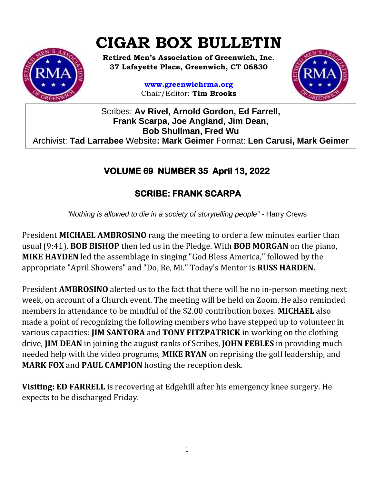# **CIGAR BOX BULLETIN**



**Retired Men's Association of Greenwich, Inc. 37 Lafayette Place, Greenwich, CT 06830**

> **www.greenwichrma.org** Chair/Editor: **Tim Brooks**



Scribes: **Av Rivel, Arnold Gordon, Ed Farrell, Frank Scarpa, Joe Angland, Jim Dean, Bob Shullman, Fred Wu** Archivist: **Tad Larrabee** Website**: Mark Geimer** Format: **Len Carusi, Mark Geimer c**

# **VOLUME 69 NUMBER 35 April 13, 2022**

# **SCRIBE: FRANK SCARPA**

*"Nothing is allowed to die in a society of storytelling people"* - Harry Crews

President **MICHAEL AMBROSINO** rang the meeting to order a few minutes earlier than usual (9:41). **BOB BISHOP** then led us in the Pledge. With **BOB MORGAN** on the piano, **MIKE HAYDEN** led the assemblage in singing "God Bless America," followed by the appropriate "April Showers" and "Do, Re, Mi." Today's Mentor is **RUSS HARDEN**.

President **AMBROSINO** alerted us to the fact that there will be no in-person meeting next week, on account of a Church event. The meeting will be held on Zoom. He also reminded members in attendance to be mindful of the \$2.00 contribution boxes. **MICHAEL** also made a point of recognizing the following members who have stepped up to volunteer in various capacities: **JIM SANTORA** and **TONY FITZPATRICK** in working on the clothing drive, **JIM DEAN** in joining the august ranks of Scribes, **JOHN FEBLES** in providing much needed help with the video programs, **MIKE RYAN** on reprising the golf leadership, and **MARK FOX** and **PAUL CAMPION** hosting the reception desk.

**Visiting: ED FARRELL** is recovering at Edgehill after his emergency knee surgery. He expects to be discharged Friday.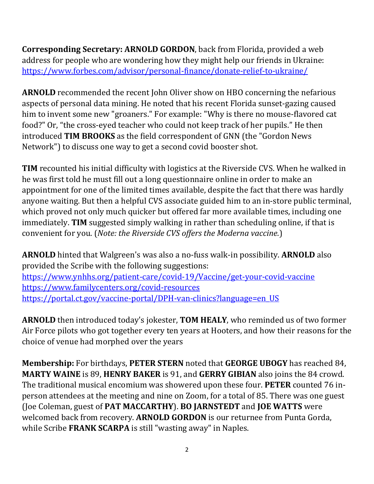**Corresponding Secretary: ARNOLD GORDON**, back from Florida, provided a web address for people who are wondering how they might help our friends in Ukraine: <https://www.forbes.com/advisor/personal-finance/donate-relief-to-ukraine/>

**ARNOLD** recommended the recent John Oliver show on HBO concerning the nefarious aspects of personal data mining. He noted that his recent Florida sunset-gazing caused him to invent some new "groaners." For example: "Why is there no mouse-flavored cat food?" Or, "the cross-eyed teacher who could not keep track of her pupils." He then introduced **TIM BROOKS** as the field correspondent of GNN (the "Gordon News Network") to discuss one way to get a second covid booster shot.

**TIM** recounted his initial difficulty with logistics at the Riverside CVS. When he walked in he was first told he must fill out a long questionnaire online in order to make an appointment for one of the limited times available, despite the fact that there was hardly anyone waiting. But then a helpful CVS associate guided him to an in-store public terminal, which proved not only much quicker but offered far more available times, including one immediately. **TIM** suggested simply walking in rather than scheduling online, if that is convenient for you. (*Note: the Riverside CVS offers the Moderna vaccine.*)

**ARNOLD** hinted that Walgreen's was also a no-fuss walk-in possibility. **ARNOLD** also provided the Scribe with the following suggestions: <https://www.ynhhs.org/patient-care/covid-19/Vaccine/get-your-covid-vaccine> <https://www.familycenters.org/covid-resources> [https://portal.ct.gov/vaccine-portal/DPH-van-clinics?language=en\\_US](https://portal.ct.gov/vaccine-portal/DPH-van-clinics?language=en_US)

**ARNOLD** then introduced today's jokester, **TOM HEALY**, who reminded us of two former Air Force pilots who got together every ten years at Hooters, and how their reasons for the choice of venue had morphed over the years

**Membership:** For birthdays, **PETER STERN** noted that **GEORGE UBOGY** has reached 84, **MARTY WAINE** is 89, **HENRY BAKER** is 91, and **GERRY GIBIAN** also joins the 84 crowd. The traditional musical encomium was showered upon these four. **PETER** counted 76 inperson attendees at the meeting and nine on Zoom, for a total of 85. There was one guest (Joe Coleman, guest of **PAT MACCARTHY**). **BO JARNSTEDT** and **JOE WATTS** were welcomed back from recovery. **ARNOLD GORDON** is our returnee from Punta Gorda, while Scribe **FRANK SCARPA** is still "wasting away" in Naples.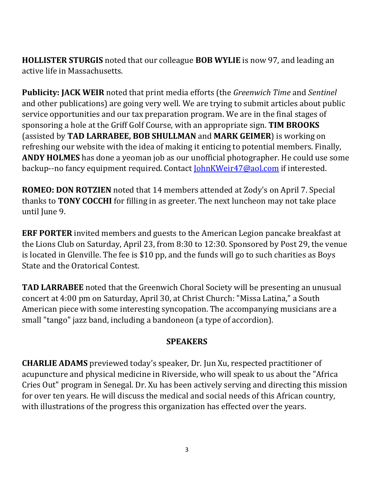**HOLLISTER STURGIS** noted that our colleague **BOB WYLIE** is now 97, and leading an active life in Massachusetts.

**Publicity: JACK WEIR** noted that print media efforts (the *Greenwich Time* and *Sentinel* and other publications) are going very well. We are trying to submit articles about public service opportunities and our tax preparation program. We are in the final stages of sponsoring a hole at the Griff Golf Course, with an appropriate sign. **TIM BROOKS** (assisted by **TAD LARRABEE, BOB SHULLMAN** and **MARK GEIMER**) is working on refreshing our website with the idea of making it enticing to potential members. Finally, **ANDY HOLMES** has done a yeoman job as our unofficial photographer. He could use some backup--no fancy equipment required. Contact **JohnKWeir47@aol.com** if interested.

**ROMEO: DON ROTZIEN** noted that 14 members attended at Zody's on April 7. Special thanks to **TONY COCCHI** for filling in as greeter. The next luncheon may not take place until June 9.

**ERF PORTER** invited members and guests to the American Legion pancake breakfast at the Lions Club on Saturday, April 23, from 8:30 to 12:30. Sponsored by Post 29, the venue is located in Glenville. The fee is \$10 pp, and the funds will go to such charities as Boys State and the Oratorical Contest.

**TAD LARRABEE** noted that the Greenwich Choral Society will be presenting an unusual concert at 4:00 pm on Saturday, April 30, at Christ Church: "Missa Latina," a South American piece with some interesting syncopation. The accompanying musicians are a small "tango" jazz band, including a bandoneon (a type of accordion).

## **SPEAKERS**

**CHARLIE ADAMS** previewed today's speaker, Dr. Jun Xu, respected practitioner of acupuncture and physical medicine in Riverside, who will speak to us about the "Africa Cries Out" program in Senegal. Dr. Xu has been actively serving and directing this mission for over ten years. He will discuss the medical and social needs of this African country, with illustrations of the progress this organization has effected over the years.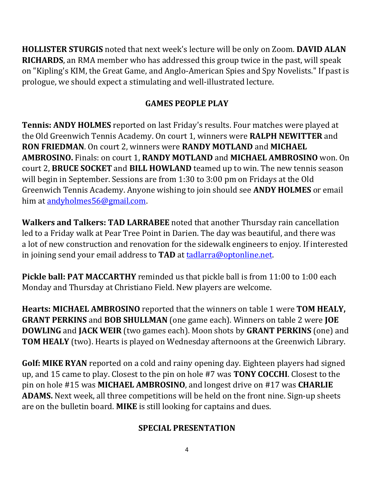**HOLLISTER STURGIS** noted that next week's lecture will be only on Zoom. **DAVID ALAN RICHARDS**, an RMA member who has addressed this group twice in the past, will speak on "Kipling's KIM, the Great Game, and Anglo-American Spies and Spy Novelists." If past is prologue, we should expect a stimulating and well-illustrated lecture.

# **GAMES PEOPLE PLAY**

**Tennis: ANDY HOLMES** reported on last Friday's results. Four matches were played at the Old Greenwich Tennis Academy. On court 1, winners were **RALPH NEWITTER** and **RON FRIEDMAN**. On court 2, winners were **RANDY MOTLAND** and **MICHAEL AMBROSINO.** Finals: on court 1, **RANDY MOTLAND** and **MICHAEL AMBROSINO** won. On court 2, **BRUCE SOCKET** and **BILL HOWLAND** teamed up to win. The new tennis season will begin in September. Sessions are from 1:30 to 3:00 pm on Fridays at the Old Greenwich Tennis Academy. Anyone wishing to join should see **ANDY HOLMES** or email him at [andyholmes56@gmail.com.](mailto:andyholmes56@gmail.com)

**Walkers and Talkers: TAD LARRABEE** noted that another Thursday rain cancellation led to a Friday walk at Pear Tree Point in Darien. The day was beautiful, and there was a lot of new construction and renovation for the sidewalk engineers to enjoy. If interested in joining send your email address to **TAD** at [tadlarra@optonline.net.](mailto:tadlarra@optonline.net)

**Pickle ball: PAT MACCARTHY** reminded us that pickle ball is from 11:00 to 1:00 each Monday and Thursday at Christiano Field. New players are welcome.

**Hearts: MICHAEL AMBROSINO** reported that the winners on table 1 were **TOM HEALY, GRANT PERKINS** and **BOB SHULLMAN** (one game each). Winners on table 2 were **JOE DOWLING** and **JACK WEIR** (two games each). Moon shots by **GRANT PERKINS** (one) and **TOM HEALY** (two). Hearts is played on Wednesday afternoons at the Greenwich Library.

**Golf: MIKE RYAN** reported on a cold and rainy opening day. Eighteen players had signed up, and 15 came to play. Closest to the pin on hole #7 was **TONY COCCHI**. Closest to the pin on hole #15 was **MICHAEL AMBROSINO**, and longest drive on #17 was **CHARLIE ADAMS.** Next week, all three competitions will be held on the front nine. Sign-up sheets are on the bulletin board. **MIKE** is still looking for captains and dues.

# **SPECIAL PRESENTATION**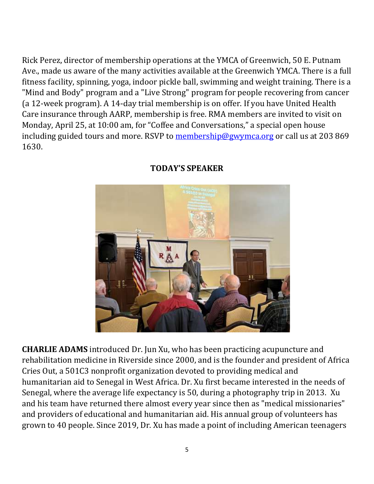Rick Perez, director of membership operations at the YMCA of Greenwich, 50 E. Putnam Ave., made us aware of the many activities available at the Greenwich YMCA. There is a full fitness facility, spinning, yoga, indoor pickle ball, swimming and weight training. There is a "Mind and Body" program and a "Live Strong" program for people recovering from cancer (a 12-week program). A 14-day trial membership is on offer. If you have United Health Care insurance through AARP, membership is free. RMA members are invited to visit on Monday, April 25, at 10:00 am, for "Coffee and Conversations," a special open house including guided tours and more. RSVP to [membership@gwymca.org](mailto:membership@gwymca.org) or call us at 203 869 1630.



## **TODAY'S SPEAKER**

**CHARLIE ADAMS** introduced Dr. Jun Xu, who has been practicing acupuncture and rehabilitation medicine in Riverside since 2000, and is the founder and president of Africa Cries Out, a 501C3 nonprofit organization devoted to providing medical and humanitarian aid to Senegal in West Africa. Dr. Xu first became interested in the needs of Senegal, where the average life expectancy is 50, during a photography trip in 2013. Xu and his team have returned there almost every year since then as "medical missionaries" and providers of educational and humanitarian aid. His annual group of volunteers has grown to 40 people. Since 2019, Dr. Xu has made a point of including American teenagers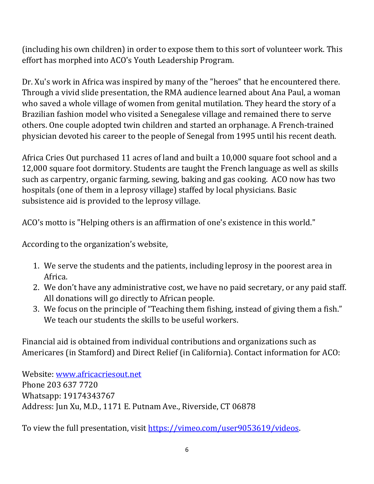(including his own children) in order to expose them to this sort of volunteer work. This effort has morphed into ACO's Youth Leadership Program.

Dr. Xu's work in Africa was inspired by many of the "heroes" that he encountered there. Through a vivid slide presentation, the RMA audience learned about Ana Paul, a woman who saved a whole village of women from genital mutilation. They heard the story of a Brazilian fashion model who visited a Senegalese village and remained there to serve others. One couple adopted twin children and started an orphanage. A French-trained physician devoted his career to the people of Senegal from 1995 until his recent death.

Africa Cries Out purchased 11 acres of land and built a 10,000 square foot school and a 12,000 square foot dormitory. Students are taught the French language as well as skills such as carpentry, organic farming, sewing, baking and gas cooking. ACO now has two hospitals (one of them in a leprosy village) staffed by local physicians. Basic subsistence aid is provided to the leprosy village.

ACO's motto is "Helping others is an affirmation of one's existence in this world."

According to the organization's website,

- 1. We serve the students and the patients, including leprosy in the poorest area in Africa.
- 2. We don't have any administrative cost, we have no paid secretary, or any paid staff. All donations will go directly to African people.
- 3. We focus on the principle of "Teaching them fishing, instead of giving them a fish." We teach our students the skills to be useful workers.

Financial aid is obtained from individual contributions and organizations such as Americares (in Stamford) and Direct Relief (in California). Contact information for ACO:

Website: [www.africacriesout.net](http://www.africacriesout.net/) Phone 203 637 7720 Whatsapp: 19174343767 Address: Jun Xu, M.D., 1171 E. Putnam Ave., Riverside, CT 06878

To view the full presentation, visit [https://vimeo.com/user9053619/videos.](https://vimeo.com/user9053619/videos)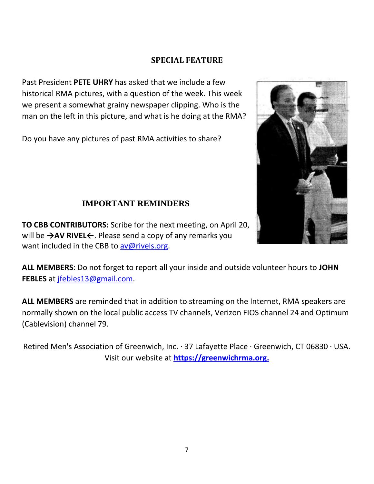#### **SPECIAL FEATURE**

Past President **PETE UHRY** has asked that we include a few historical RMA pictures, with a question of the week. This week we present a somewhat grainy newspaper clipping. Who is the man on the left in this picture, and what is he doing at the RMA?

Do you have any pictures of past RMA activities to share?



## **IMPORTANT REMINDERS**

**TO CBB CONTRIBUTORS:** Scribe for the next meeting, on April 20, will be **→AV RIVEL←**. Please send a copy of any remarks you want included in the CBB to [av@rivels.org.](mailto:av@rivels.org)

**ALL MEMBERS**: Do not forget to report all your inside and outside volunteer hours to **JOHN FEBLES** at [jfebles13@gmail.com.](mailto:jfebles13@gmail.com)

**ALL MEMBERS** are reminded that in addition to streaming on the Internet, RMA speakers are normally shown on the local public access TV channels, Verizon FIOS channel 24 and Optimum (Cablevision) channel 79.

Retired Men's Association of Greenwich, Inc. · 37 Lafayette Place · Greenwich, CT 06830 · USA. Visit our website at **[https://greenwichrma.org.](about:blank)**